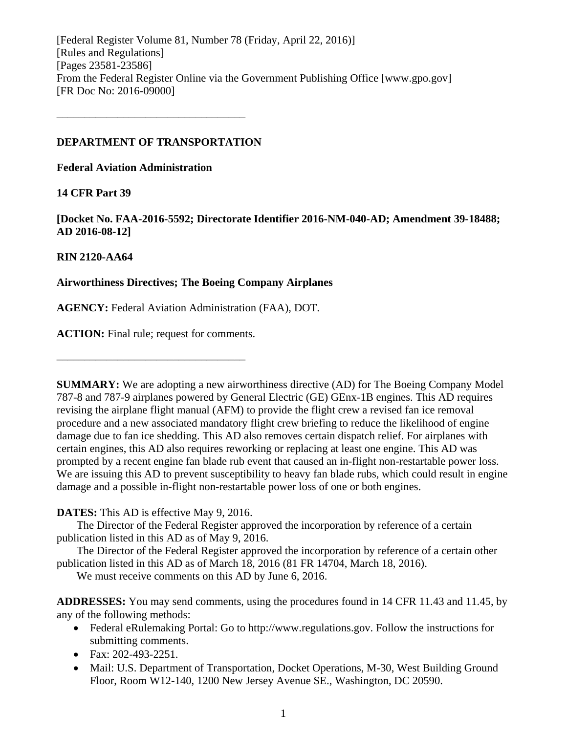[Federal Register Volume 81, Number 78 (Friday, April 22, 2016)] [Rules and Regulations] [Pages 23581-23586] From the Federal Register Online via the Government Publishing Office [www.gpo.gov] [FR Doc No: 2016-09000]

## **DEPARTMENT OF TRANSPORTATION**

––––––––––––––––––––––––––––––––––

**Federal Aviation Administration**

## **14 CFR Part 39**

**[Docket No. FAA-2016-5592; Directorate Identifier 2016-NM-040-AD; Amendment 39-18488; AD 2016-08-12]**

# **RIN 2120-AA64**

# **Airworthiness Directives; The Boeing Company Airplanes**

**AGENCY:** Federal Aviation Administration (FAA), DOT.

**ACTION:** Final rule; request for comments.

––––––––––––––––––––––––––––––––––

**SUMMARY:** We are adopting a new airworthiness directive (AD) for The Boeing Company Model 787-8 and 787-9 airplanes powered by General Electric (GE) GEnx-1B engines. This AD requires revising the airplane flight manual (AFM) to provide the flight crew a revised fan ice removal procedure and a new associated mandatory flight crew briefing to reduce the likelihood of engine damage due to fan ice shedding. This AD also removes certain dispatch relief. For airplanes with certain engines, this AD also requires reworking or replacing at least one engine. This AD was prompted by a recent engine fan blade rub event that caused an in-flight non-restartable power loss. We are issuing this AD to prevent susceptibility to heavy fan blade rubs, which could result in engine damage and a possible in-flight non-restartable power loss of one or both engines.

**DATES:** This AD is effective May 9, 2016.

The Director of the Federal Register approved the incorporation by reference of a certain publication listed in this AD as of May 9, 2016.

The Director of the Federal Register approved the incorporation by reference of a certain other publication listed in this AD as of March 18, 2016 (81 FR 14704, March 18, 2016).

We must receive comments on this AD by June 6, 2016.

**ADDRESSES:** You may send comments, using the procedures found in 14 CFR 11.43 and 11.45, by any of the following methods:

- Federal eRulemaking Portal: Go to http://www.regulations.gov. Follow the instructions for submitting comments.
- Fax: 202-493-2251.
- Mail: U.S. Department of Transportation, Docket Operations, M-30, West Building Ground Floor, Room W12-140, 1200 New Jersey Avenue SE., Washington, DC 20590.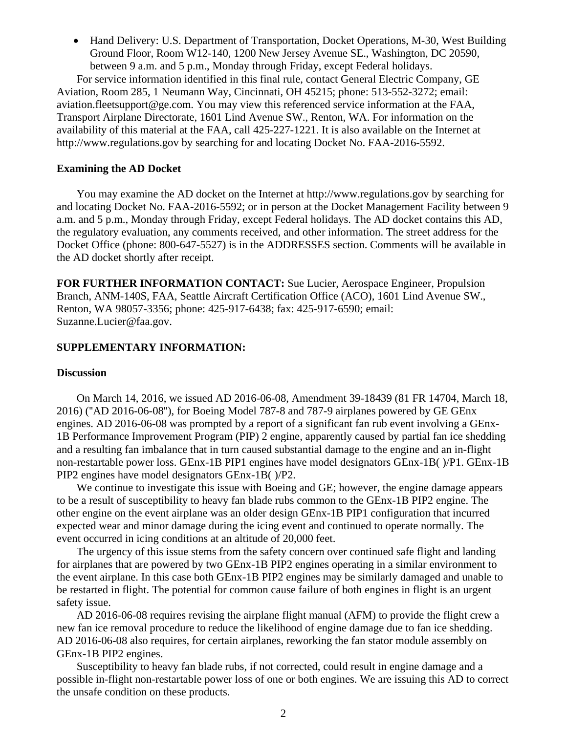• Hand Delivery: U.S. Department of Transportation, Docket Operations, M-30, West Building Ground Floor, Room W12-140, 1200 New Jersey Avenue SE., Washington, DC 20590, between 9 a.m. and 5 p.m., Monday through Friday, except Federal holidays.

For service information identified in this final rule, contact General Electric Company, GE Aviation, Room 285, 1 Neumann Way, Cincinnati, OH 45215; phone: 513-552-3272; email: aviation.fleetsupport@ge.com. You may view this referenced service information at the FAA, Transport Airplane Directorate, 1601 Lind Avenue SW., Renton, WA. For information on the availability of this material at the FAA, call 425-227-1221. It is also available on the Internet at http://www.regulations.gov by searching for and locating Docket No. FAA-2016-5592.

### **Examining the AD Docket**

You may examine the AD docket on the Internet at http://www.regulations.gov by searching for and locating Docket No. FAA-2016-5592; or in person at the Docket Management Facility between 9 a.m. and 5 p.m., Monday through Friday, except Federal holidays. The AD docket contains this AD, the regulatory evaluation, any comments received, and other information. The street address for the Docket Office (phone: 800-647-5527) is in the ADDRESSES section. Comments will be available in the AD docket shortly after receipt.

**FOR FURTHER INFORMATION CONTACT:** Sue Lucier, Aerospace Engineer, Propulsion Branch, ANM-140S, FAA, Seattle Aircraft Certification Office (ACO), 1601 Lind Avenue SW., Renton, WA 98057-3356; phone: 425-917-6438; fax: 425-917-6590; email: Suzanne.Lucier@faa.gov.

## **SUPPLEMENTARY INFORMATION:**

### **Discussion**

On March 14, 2016, we issued AD 2016-06-08, Amendment 39-18439 (81 FR 14704, March 18, 2016) (''AD 2016-06-08''), for Boeing Model 787-8 and 787-9 airplanes powered by GE GEnx engines. AD 2016-06-08 was prompted by a report of a significant fan rub event involving a GEnx-1B Performance Improvement Program (PIP) 2 engine, apparently caused by partial fan ice shedding and a resulting fan imbalance that in turn caused substantial damage to the engine and an in-flight non-restartable power loss. GEnx-1B PIP1 engines have model designators GEnx-1B( )/P1. GEnx-1B PIP2 engines have model designators GEnx-1B( )/P2.

We continue to investigate this issue with Boeing and GE; however, the engine damage appears to be a result of susceptibility to heavy fan blade rubs common to the GEnx-1B PIP2 engine. The other engine on the event airplane was an older design GEnx-1B PIP1 configuration that incurred expected wear and minor damage during the icing event and continued to operate normally. The event occurred in icing conditions at an altitude of 20,000 feet.

The urgency of this issue stems from the safety concern over continued safe flight and landing for airplanes that are powered by two GEnx-1B PIP2 engines operating in a similar environment to the event airplane. In this case both GEnx-1B PIP2 engines may be similarly damaged and unable to be restarted in flight. The potential for common cause failure of both engines in flight is an urgent safety issue.

AD 2016-06-08 requires revising the airplane flight manual (AFM) to provide the flight crew a new fan ice removal procedure to reduce the likelihood of engine damage due to fan ice shedding. AD 2016-06-08 also requires, for certain airplanes, reworking the fan stator module assembly on GEnx-1B PIP2 engines.

Susceptibility to heavy fan blade rubs, if not corrected, could result in engine damage and a possible in-flight non-restartable power loss of one or both engines. We are issuing this AD to correct the unsafe condition on these products.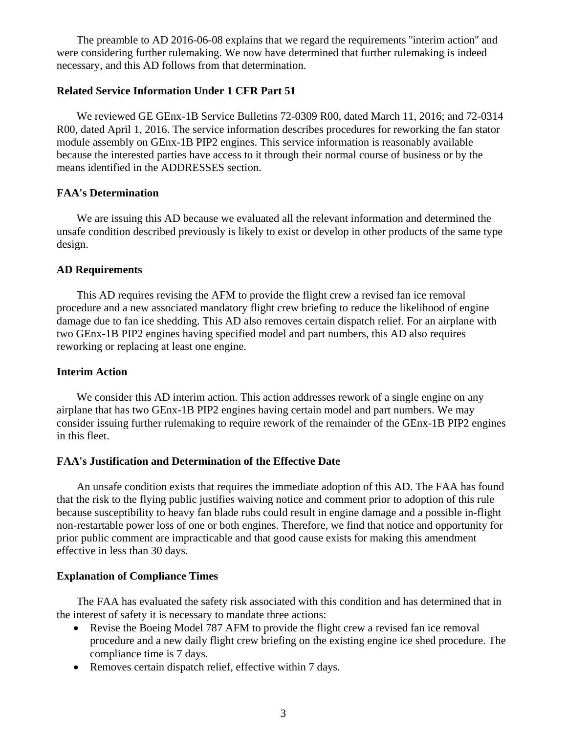The preamble to AD 2016-06-08 explains that we regard the requirements ''interim action'' and were considering further rulemaking. We now have determined that further rulemaking is indeed necessary, and this AD follows from that determination.

### **Related Service Information Under 1 CFR Part 51**

We reviewed GE GEnx-1B Service Bulletins 72-0309 R00, dated March 11, 2016; and 72-0314 R00, dated April 1, 2016. The service information describes procedures for reworking the fan stator module assembly on GEnx-1B PIP2 engines. This service information is reasonably available because the interested parties have access to it through their normal course of business or by the means identified in the ADDRESSES section.

## **FAA's Determination**

We are issuing this AD because we evaluated all the relevant information and determined the unsafe condition described previously is likely to exist or develop in other products of the same type design.

## **AD Requirements**

This AD requires revising the AFM to provide the flight crew a revised fan ice removal procedure and a new associated mandatory flight crew briefing to reduce the likelihood of engine damage due to fan ice shedding. This AD also removes certain dispatch relief. For an airplane with two GEnx-1B PIP2 engines having specified model and part numbers, this AD also requires reworking or replacing at least one engine.

## **Interim Action**

We consider this AD interim action. This action addresses rework of a single engine on any airplane that has two GEnx-1B PIP2 engines having certain model and part numbers. We may consider issuing further rulemaking to require rework of the remainder of the GEnx-1B PIP2 engines in this fleet.

### **FAA's Justification and Determination of the Effective Date**

An unsafe condition exists that requires the immediate adoption of this AD. The FAA has found that the risk to the flying public justifies waiving notice and comment prior to adoption of this rule because susceptibility to heavy fan blade rubs could result in engine damage and a possible in-flight non-restartable power loss of one or both engines. Therefore, we find that notice and opportunity for prior public comment are impracticable and that good cause exists for making this amendment effective in less than 30 days.

## **Explanation of Compliance Times**

The FAA has evaluated the safety risk associated with this condition and has determined that in the interest of safety it is necessary to mandate three actions:

- Revise the Boeing Model 787 AFM to provide the flight crew a revised fan ice removal procedure and a new daily flight crew briefing on the existing engine ice shed procedure. The compliance time is 7 days.
- Removes certain dispatch relief, effective within 7 days.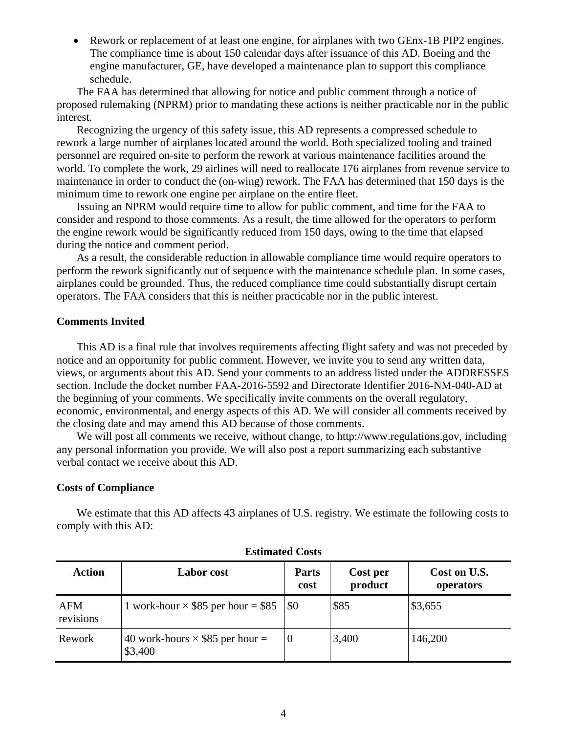• Rework or replacement of at least one engine, for airplanes with two GEnx-1B PIP2 engines. The compliance time is about 150 calendar days after issuance of this AD. Boeing and the engine manufacturer, GE, have developed a maintenance plan to support this compliance schedule.

The FAA has determined that allowing for notice and public comment through a notice of proposed rulemaking (NPRM) prior to mandating these actions is neither practicable nor in the public interest.

Recognizing the urgency of this safety issue, this AD represents a compressed schedule to rework a large number of airplanes located around the world. Both specialized tooling and trained personnel are required on-site to perform the rework at various maintenance facilities around the world. To complete the work, 29 airlines will need to reallocate 176 airplanes from revenue service to maintenance in order to conduct the (on-wing) rework. The FAA has determined that 150 days is the minimum time to rework one engine per airplane on the entire fleet.

Issuing an NPRM would require time to allow for public comment, and time for the FAA to consider and respond to those comments. As a result, the time allowed for the operators to perform the engine rework would be significantly reduced from 150 days, owing to the time that elapsed during the notice and comment period.

As a result, the considerable reduction in allowable compliance time would require operators to perform the rework significantly out of sequence with the maintenance schedule plan. In some cases, airplanes could be grounded. Thus, the reduced compliance time could substantially disrupt certain operators. The FAA considers that this is neither practicable nor in the public interest.

## **Comments Invited**

This AD is a final rule that involves requirements affecting flight safety and was not preceded by notice and an opportunity for public comment. However, we invite you to send any written data, views, or arguments about this AD. Send your comments to an address listed under the ADDRESSES section. Include the docket number FAA-2016-5592 and Directorate Identifier 2016-NM-040-AD at the beginning of your comments. We specifically invite comments on the overall regulatory, economic, environmental, and energy aspects of this AD. We will consider all comments received by the closing date and may amend this AD because of those comments.

We will post all comments we receive, without change, to http://www.regulations.gov, including any personal information you provide. We will also post a report summarizing each substantive verbal contact we receive about this AD.

### **Costs of Compliance**

We estimate that this AD affects 43 airplanes of U.S. registry. We estimate the following costs to comply with this AD:

| <b>Action</b>    | <b>Labor</b> cost                                 | <b>Parts</b><br>cost | Cost per<br>product | Cost on U.S.<br>operators |
|------------------|---------------------------------------------------|----------------------|---------------------|---------------------------|
| AFM<br>revisions | 1 work-hour $\times$ \$85 per hour = \$85         | \$0                  | \$85                | \$3,655                   |
| Rework           | 40 work-hours $\times$ \$85 per hour =<br>\$3,400 |                      | 3,400               | 146,200                   |

## **Estimated Costs**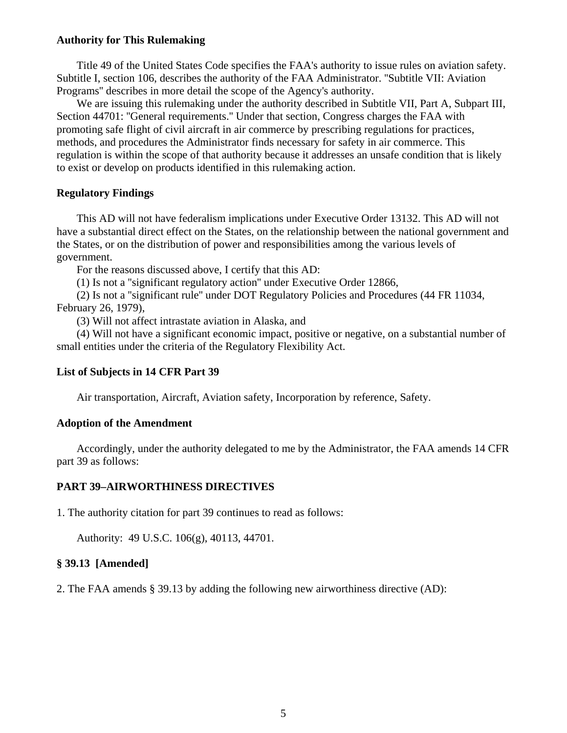## **Authority for This Rulemaking**

Title 49 of the United States Code specifies the FAA's authority to issue rules on aviation safety. Subtitle I, section 106, describes the authority of the FAA Administrator. ''Subtitle VII: Aviation Programs'' describes in more detail the scope of the Agency's authority.

We are issuing this rulemaking under the authority described in Subtitle VII, Part A, Subpart III, Section 44701: ''General requirements.'' Under that section, Congress charges the FAA with promoting safe flight of civil aircraft in air commerce by prescribing regulations for practices, methods, and procedures the Administrator finds necessary for safety in air commerce. This regulation is within the scope of that authority because it addresses an unsafe condition that is likely to exist or develop on products identified in this rulemaking action.

## **Regulatory Findings**

This AD will not have federalism implications under Executive Order 13132. This AD will not have a substantial direct effect on the States, on the relationship between the national government and the States, or on the distribution of power and responsibilities among the various levels of government.

For the reasons discussed above, I certify that this AD:

(1) Is not a ''significant regulatory action'' under Executive Order 12866,

(2) Is not a ''significant rule'' under DOT Regulatory Policies and Procedures (44 FR 11034, February 26, 1979),

(3) Will not affect intrastate aviation in Alaska, and

(4) Will not have a significant economic impact, positive or negative, on a substantial number of small entities under the criteria of the Regulatory Flexibility Act.

## **List of Subjects in 14 CFR Part 39**

Air transportation, Aircraft, Aviation safety, Incorporation by reference, Safety.

### **Adoption of the Amendment**

Accordingly, under the authority delegated to me by the Administrator, the FAA amends 14 CFR part 39 as follows:

### **PART 39–AIRWORTHINESS DIRECTIVES**

1. The authority citation for part 39 continues to read as follows:

Authority: 49 U.S.C. 106(g), 40113, 44701.

### **§ 39.13 [Amended]**

2. The FAA amends § 39.13 by adding the following new airworthiness directive (AD):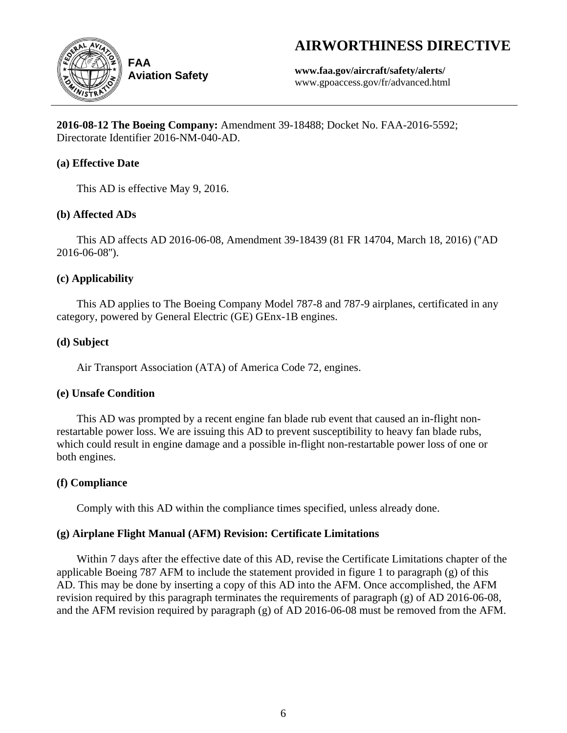# **AIRWORTHINESS DIRECTIVE**



**Aviation Safety**

**www.faa.gov/aircraft/safety/alerts/** www.gpoaccess.gov/fr/advanced.html

**2016-08-12 The Boeing Company:** Amendment 39-18488; Docket No. FAA-2016-5592; Directorate Identifier 2016-NM-040-AD.

# **(a) Effective Date**

This AD is effective May 9, 2016.

# **(b) Affected ADs**

This AD affects AD 2016-06-08, Amendment 39-18439 (81 FR 14704, March 18, 2016) (''AD 2016-06-08'').

# **(c) Applicability**

This AD applies to The Boeing Company Model 787-8 and 787-9 airplanes, certificated in any category, powered by General Electric (GE) GEnx-1B engines.

# **(d) Subject**

Air Transport Association (ATA) of America Code 72, engines.

# **(e) Unsafe Condition**

This AD was prompted by a recent engine fan blade rub event that caused an in-flight nonrestartable power loss. We are issuing this AD to prevent susceptibility to heavy fan blade rubs, which could result in engine damage and a possible in-flight non-restartable power loss of one or both engines.

# **(f) Compliance**

Comply with this AD within the compliance times specified, unless already done.

# **(g) Airplane Flight Manual (AFM) Revision: Certificate Limitations**

Within 7 days after the effective date of this AD, revise the Certificate Limitations chapter of the applicable Boeing 787 AFM to include the statement provided in figure 1 to paragraph (g) of this AD. This may be done by inserting a copy of this AD into the AFM. Once accomplished, the AFM revision required by this paragraph terminates the requirements of paragraph (g) of AD 2016-06-08, and the AFM revision required by paragraph (g) of AD 2016-06-08 must be removed from the AFM.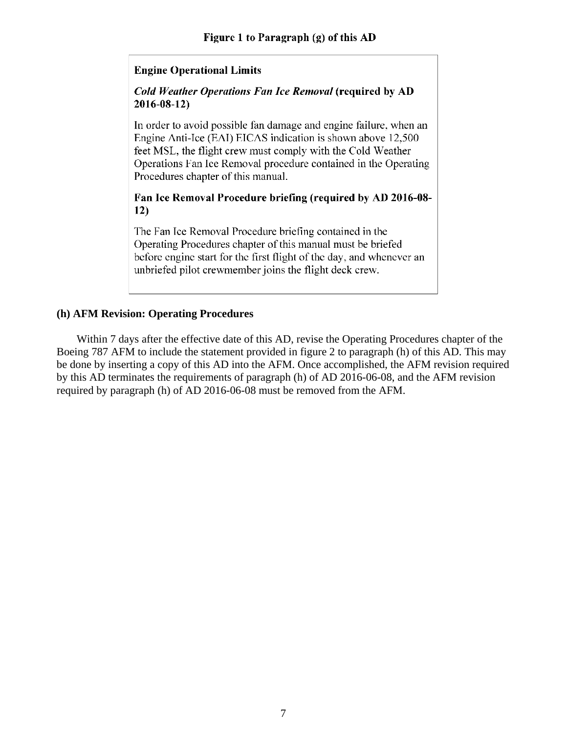# **Engine Operational Limits**

# **Cold Weather Operations Fan Ice Removal (required by AD**  $2016 - 08 - 12$

In order to avoid possible fan damage and engine failure, when an Engine Anti-Ice (EAI) EICAS indication is shown above 12,500 feet MSL, the flight crew must comply with the Cold Weather Operations Fan Ice Removal procedure contained in the Operating Procedures chapter of this manual.

# Fan Ice Removal Procedure briefing (required by AD 2016-08- $12)$

The Fan Ice Removal Procedure briefing contained in the Operating Procedures chapter of this manual must be briefed before engine start for the first flight of the day, and whenever an unbriefed pilot crewmember joins the flight deck crew.

# **(h) AFM Revision: Operating Procedures**

Within 7 days after the effective date of this AD, revise the Operating Procedures chapter of the Boeing 787 AFM to include the statement provided in figure 2 to paragraph (h) of this AD. This may be done by inserting a copy of this AD into the AFM. Once accomplished, the AFM revision required by this AD terminates the requirements of paragraph (h) of AD 2016-06-08, and the AFM revision required by paragraph (h) of AD 2016-06-08 must be removed from the AFM.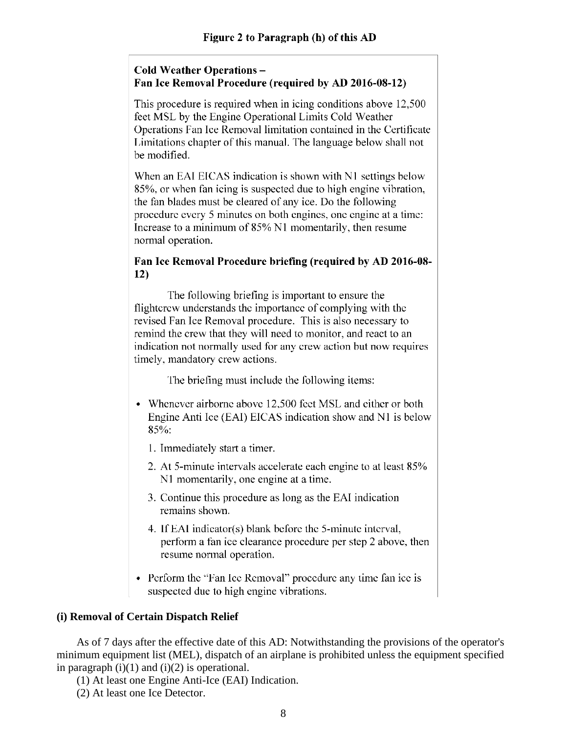# **Cold Weather Operations -**Fan Ice Removal Procedure (required by AD 2016-08-12)

This procedure is required when in icing conditions above 12,500 feet MSL by the Engine Operational Limits Cold Weather Operations Fan Ice Removal limitation contained in the Certificate Limitations chapter of this manual. The language below shall not be modified.

When an EAI EICAS indication is shown with N1 settings below 85%, or when fan icing is suspected due to high engine vibration, the fan blades must be cleared of any ice. Do the following procedure every 5 minutes on both engines, one engine at a time: Increase to a minimum of 85% N1 momentarily, then resume normal operation.

# Fan Ice Removal Procedure briefing (required by AD 2016-08- $12)$

The following briefing is important to ensure the flighterew understands the importance of complying with the revised Fan Ice Removal procedure. This is also necessary to remind the crew that they will need to monitor, and react to an indication not normally used for any crew action but now requires timely, mandatory crew actions.

The briefing must include the following items:

- Whenever airborne above 12,500 feet MSL and either or both Engine Anti Ice (EAI) EICAS indication show and N1 is below 85%:
	- 1. Immediately start a timer.
	- 2. At 5-minute intervals accelerate each engine to at least 85% N1 momentarily, one engine at a time.
	- 3. Continue this procedure as long as the EAI indication remains shown.
	- 4. If EAI indicator(s) blank before the 5-minute interval, perform a fan ice clearance procedure per step 2 above, then resume normal operation.
- Perform the "Fan Ice Removal" procedure any time fan ice is suspected due to high engine vibrations.

# **(i) Removal of Certain Dispatch Relief**

As of 7 days after the effective date of this AD: Notwithstanding the provisions of the operator's minimum equipment list (MEL), dispatch of an airplane is prohibited unless the equipment specified in paragraph  $(i)(1)$  and  $(i)(2)$  is operational.

(1) At least one Engine Anti-Ice (EAI) Indication.

(2) At least one Ice Detector.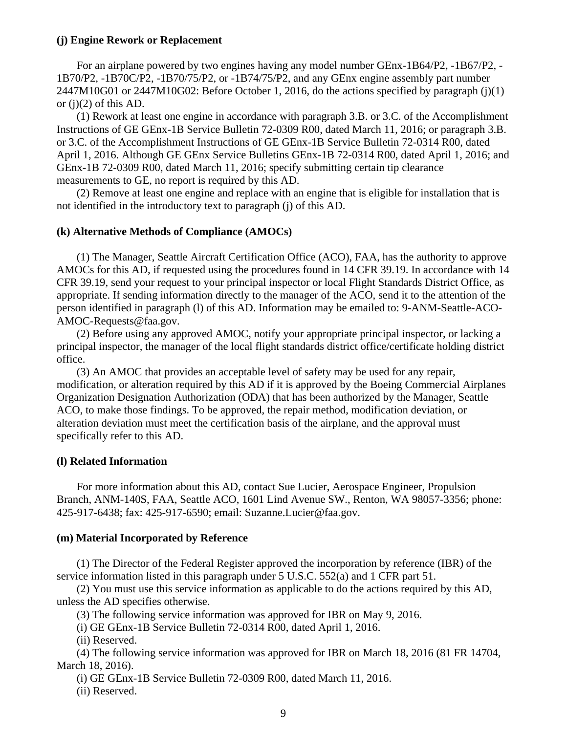### **(j) Engine Rework or Replacement**

For an airplane powered by two engines having any model number GEnx-1B64/P2, -1B67/P2, - 1B70/P2, -1B70C/P2, -1B70/75/P2, or -1B74/75/P2, and any GEnx engine assembly part number 2447M10G01 or 2447M10G02: Before October 1, 2016, do the actions specified by paragraph (j)(1) or  $(j)(2)$  of this AD.

(1) Rework at least one engine in accordance with paragraph 3.B. or 3.C. of the Accomplishment Instructions of GE GEnx-1B Service Bulletin 72-0309 R00, dated March 11, 2016; or paragraph 3.B. or 3.C. of the Accomplishment Instructions of GE GEnx-1B Service Bulletin 72-0314 R00, dated April 1, 2016. Although GE GEnx Service Bulletins GEnx-1B 72-0314 R00, dated April 1, 2016; and GEnx-1B 72-0309 R00, dated March 11, 2016; specify submitting certain tip clearance measurements to GE, no report is required by this AD.

(2) Remove at least one engine and replace with an engine that is eligible for installation that is not identified in the introductory text to paragraph (j) of this AD.

### **(k) Alternative Methods of Compliance (AMOCs)**

(1) The Manager, Seattle Aircraft Certification Office (ACO), FAA, has the authority to approve AMOCs for this AD, if requested using the procedures found in 14 CFR 39.19. In accordance with 14 CFR 39.19, send your request to your principal inspector or local Flight Standards District Office, as appropriate. If sending information directly to the manager of the ACO, send it to the attention of the person identified in paragraph (l) of this AD. Information may be emailed to: 9-ANM-Seattle-ACO-AMOC-Requests@faa.gov.

(2) Before using any approved AMOC, notify your appropriate principal inspector, or lacking a principal inspector, the manager of the local flight standards district office/certificate holding district office.

(3) An AMOC that provides an acceptable level of safety may be used for any repair, modification, or alteration required by this AD if it is approved by the Boeing Commercial Airplanes Organization Designation Authorization (ODA) that has been authorized by the Manager, Seattle ACO, to make those findings. To be approved, the repair method, modification deviation, or alteration deviation must meet the certification basis of the airplane, and the approval must specifically refer to this AD.

## **(l) Related Information**

For more information about this AD, contact Sue Lucier, Aerospace Engineer, Propulsion Branch, ANM-140S, FAA, Seattle ACO, 1601 Lind Avenue SW., Renton, WA 98057-3356; phone: 425-917-6438; fax: 425-917-6590; email: Suzanne.Lucier@faa.gov.

### **(m) Material Incorporated by Reference**

(1) The Director of the Federal Register approved the incorporation by reference (IBR) of the service information listed in this paragraph under 5 U.S.C. 552(a) and 1 CFR part 51.

(2) You must use this service information as applicable to do the actions required by this AD, unless the AD specifies otherwise.

(3) The following service information was approved for IBR on May 9, 2016.

(i) GE GEnx-1B Service Bulletin 72-0314 R00, dated April 1, 2016.

(ii) Reserved.

(4) The following service information was approved for IBR on March 18, 2016 (81 FR 14704, March 18, 2016).

(i) GE GEnx-1B Service Bulletin 72-0309 R00, dated March 11, 2016.

(ii) Reserved.